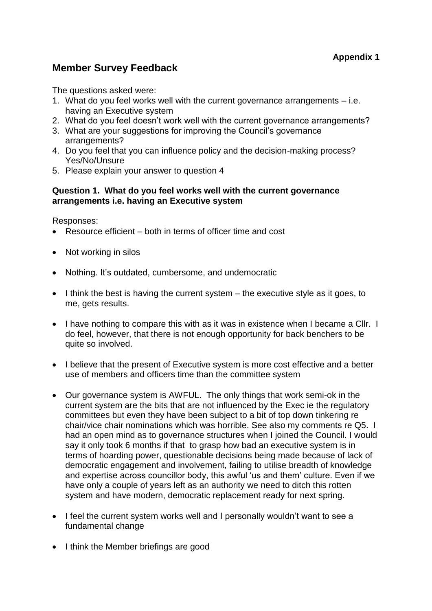# **Member Survey Feedback**

The questions asked were:

- 1. What do you feel works well with the current governance arrangements i.e. having an Executive system
- 2. What do you feel doesn't work well with the current governance arrangements?
- 3. What are your suggestions for improving the Council's governance arrangements?
- 4. Do you feel that you can influence policy and the decision-making process? Yes/No/Unsure
- 5. Please explain your answer to question 4

## **Question 1. What do you feel works well with the current governance arrangements i.e. having an Executive system**

Responses:

- Resource efficient both in terms of officer time and cost
- Not working in silos
- Nothing. It's outdated, cumbersome, and undemocratic
- $\bullet$  I think the best is having the current system the executive style as it goes, to me, gets results.
- I have nothing to compare this with as it was in existence when I became a CIIr. I do feel, however, that there is not enough opportunity for back benchers to be quite so involved.
- I believe that the present of Executive system is more cost effective and a better use of members and officers time than the committee system
- Our governance system is AWFUL. The only things that work semi-ok in the current system are the bits that are not influenced by the Exec ie the regulatory committees but even they have been subject to a bit of top down tinkering re chair/vice chair nominations which was horrible. See also my comments re Q5. I had an open mind as to governance structures when I joined the Council. I would say it only took 6 months if that to grasp how bad an executive system is in terms of hoarding power, questionable decisions being made because of lack of democratic engagement and involvement, failing to utilise breadth of knowledge and expertise across councillor body, this awful 'us and them' culture. Even if we have only a couple of years left as an authority we need to ditch this rotten system and have modern, democratic replacement ready for next spring.
- I feel the current system works well and I personally wouldn't want to see a fundamental change
- I think the Member briefings are good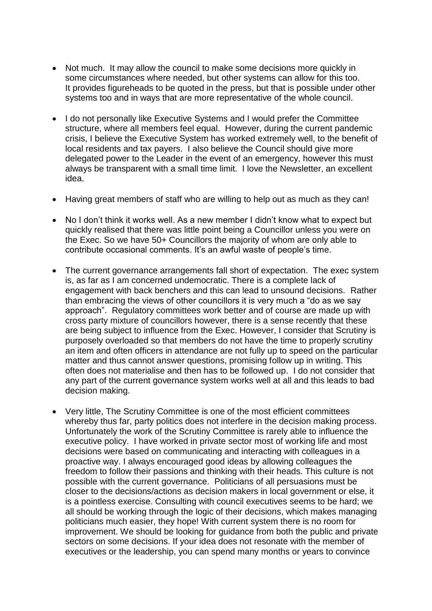- Not much. It may allow the council to make some decisions more quickly in some circumstances where needed, but other systems can allow for this too. It provides figureheads to be quoted in the press, but that is possible under other systems too and in ways that are more representative of the whole council.
- I do not personally like Executive Systems and I would prefer the Committee structure, where all members feel equal. However, during the current pandemic crisis, I believe the Executive System has worked extremely well, to the benefit of local residents and tax payers. I also believe the Council should give more delegated power to the Leader in the event of an emergency, however this must always be transparent with a small time limit. I love the Newsletter, an excellent idea.
- Having great members of staff who are willing to help out as much as they can!
- No I don't think it works well. As a new member I didn't know what to expect but quickly realised that there was little point being a Councillor unless you were on the Exec. So we have 50+ Councillors the majority of whom are only able to contribute occasional comments. It's an awful waste of people's time.
- The current governance arrangements fall short of expectation. The exec system is, as far as I am concerned undemocratic. There is a complete lack of engagement with back benchers and this can lead to unsound decisions. Rather than embracing the views of other councillors it is very much a "do as we say approach". Regulatory committees work better and of course are made up with cross party mixture of councillors however, there is a sense recently that these are being subject to influence from the Exec. However, I consider that Scrutiny is purposely overloaded so that members do not have the time to properly scrutiny an item and often officers in attendance are not fully up to speed on the particular matter and thus cannot answer questions, promising follow up in writing. This often does not materialise and then has to be followed up. I do not consider that any part of the current governance system works well at all and this leads to bad decision making.
- Very little, The Scrutiny Committee is one of the most efficient committees whereby thus far, party politics does not interfere in the decision making process. Unfortunately the work of the Scrutiny Committee is rarely able to influence the executive policy. I have worked in private sector most of working life and most decisions were based on communicating and interacting with colleagues in a proactive way. I always encouraged good ideas by allowing colleagues the freedom to follow their passions and thinking with their heads. This culture is not possible with the current governance. Politicians of all persuasions must be closer to the decisions/actions as decision makers in local government or else, it is a pointless exercise. Consulting with council executives seems to be hard; we all should be working through the logic of their decisions, which makes managing politicians much easier, they hope! With current system there is no room for improvement. We should be looking for guidance from both the public and private sectors on some decisions. If your idea does not resonate with the member of executives or the leadership, you can spend many months or years to convince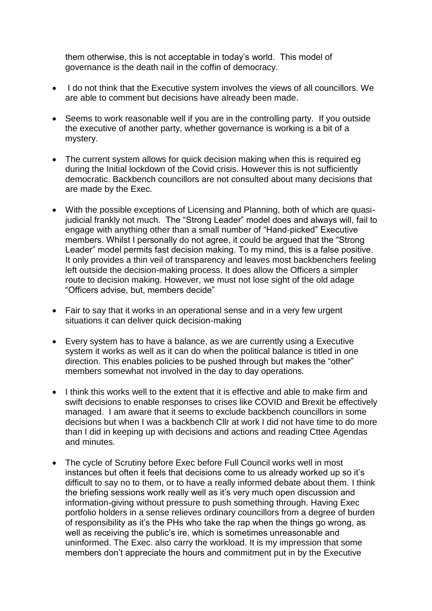them otherwise, this is not acceptable in today's world. This model of governance is the death nail in the coffin of democracy.

- I do not think that the Executive system involves the views of all councillors. We are able to comment but decisions have already been made.
- Seems to work reasonable well if you are in the controlling party. If you outside the executive of another party, whether governance is working is a bit of a mystery.
- The current system allows for quick decision making when this is required eq during the Initial lockdown of the Covid crisis. However this is not sufficiently democratic. Backbench councillors are not consulted about many decisions that are made by the Exec.
- With the possible exceptions of Licensing and Planning, both of which are quasijudicial frankly not much. The "Strong Leader" model does and always will, fail to engage with anything other than a small number of "Hand-picked" Executive members. Whilst I personally do not agree, it could be argued that the "Strong Leader" model permits fast decision making. To my mind, this is a false positive. It only provides a thin veil of transparency and leaves most backbenchers feeling left outside the decision-making process. It does allow the Officers a simpler route to decision making. However, we must not lose sight of the old adage "Officers advise, but, members decide"
- Fair to say that it works in an operational sense and in a very few urgent situations it can deliver quick decision-making
- Every system has to have a balance, as we are currently using a Executive system it works as well as it can do when the political balance is titled in one direction. This enables policies to be pushed through but makes the "other" members somewhat not involved in the day to day operations.
- I think this works well to the extent that it is effective and able to make firm and swift decisions to enable responses to crises like COVID and Brexit be effectively managed. I am aware that it seems to exclude backbench councillors in some decisions but when I was a backbench Cllr at work I did not have time to do more than I did in keeping up with decisions and actions and reading Cttee Agendas and minutes.
- The cycle of Scrutiny before Exec before Full Council works well in most instances but often it feels that decisions come to us already worked up so it's difficult to say no to them, or to have a really informed debate about them. I think the briefing sessions work really well as it's very much open discussion and information-giving without pressure to push something through. Having Exec portfolio holders in a sense relieves ordinary councillors from a degree of burden of responsibility as it's the PHs who take the rap when the things go wrong, as well as receiving the public's ire, which is sometimes unreasonable and uninformed. The Exec. also carry the workload. It is my impression that some members don't appreciate the hours and commitment put in by the Executive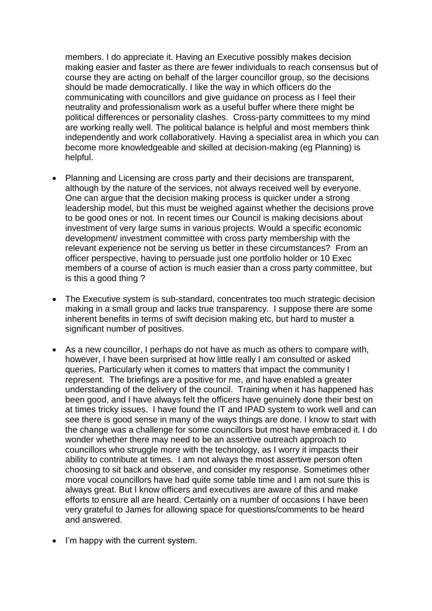members. I do appreciate it. Having an Executive possibly makes decision making easier and faster as there are fewer individuals to reach consensus but of course they are acting on behalf of the larger councillor group, so the decisions should be made democratically. I like the way in which officers do the communicating with councillors and give guidance on process as I feel their neutrality and professionalism work as a useful buffer where there might be political differences or personality clashes. Cross-party committees to my mind are working really well. The political balance is helpful and most members think independently and work collaboratively. Having a specialist area in which you can become more knowledgeable and skilled at decision-making (eg Planning) is helpful.

- Planning and Licensing are cross party and their decisions are transparent, although by the nature of the services, not always received well by everyone. One can argue that the decision making process is quicker under a strong leadership model, but this must be weighed against whether the decisions prove to be good ones or not. In recent times our Council is making decisions about investment of very large sums in various projects. Would a specific economic development/ investment committee with cross party membership with the relevant experience not be serving us better in these circumstances? From an officer perspective, having to persuade just one portfolio holder or 10 Exec members of a course of action is much easier than a cross party committee, but is this a good thing ?
- The Executive system is sub-standard, concentrates too much strategic decision making in a small group and lacks true transparency. I suppose there are some inherent benefits in terms of swift decision making etc, but hard to muster a significant number of positives.
- As a new councillor, I perhaps do not have as much as others to compare with, however, I have been surprised at how little really I am consulted or asked queries. Particularly when it comes to matters that impact the community I represent. The briefings are a positive for me, and have enabled a greater understanding of the delivery of the council. Training when it has happened has been good, and I have always felt the officers have genuinely done their best on at times tricky issues. I have found the IT and IPAD system to work well and can see there is good sense in many of the ways things are done. I know to start with the change was a challenge for some councillors but most have embraced it. I do wonder whether there may need to be an assertive outreach approach to councillors who struggle more with the technology, as I worry it impacts their ability to contribute at times. I am not always the most assertive person often choosing to sit back and observe, and consider my response. Sometimes other more vocal councillors have had quite some table time and I am not sure this is always great. But I know officers and executives are aware of this and make efforts to ensure all are heard. Certainly on a number of occasions I have been very grateful to James for allowing space for questions/comments to be heard and answered.
- I'm happy with the current system.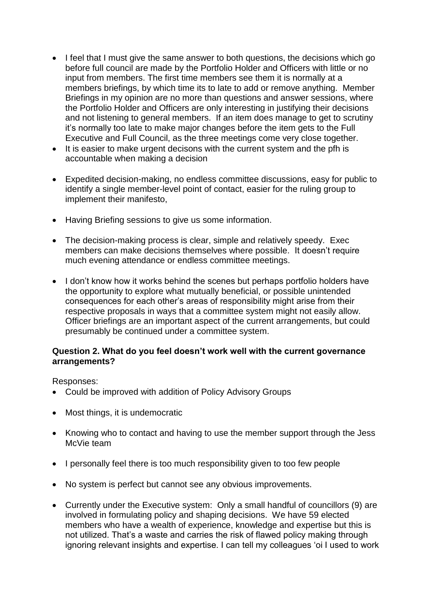- I feel that I must give the same answer to both questions, the decisions which go before full council are made by the Portfolio Holder and Officers with little or no input from members. The first time members see them it is normally at a members briefings, by which time its to late to add or remove anything. Member Briefings in my opinion are no more than questions and answer sessions, where the Portfolio Holder and Officers are only interesting in justifying their decisions and not listening to general members. If an item does manage to get to scrutiny it's normally too late to make major changes before the item gets to the Full Executive and Full Council, as the three meetings come very close together.
- It is easier to make urgent decisons with the current system and the pfh is accountable when making a decision
- Expedited decision-making, no endless committee discussions, easy for public to identify a single member-level point of contact, easier for the ruling group to implement their manifesto,
- Having Briefing sessions to give us some information.
- The decision-making process is clear, simple and relatively speedy. Exec members can make decisions themselves where possible. It doesn't require much evening attendance or endless committee meetings.
- I don't know how it works behind the scenes but perhaps portfolio holders have the opportunity to explore what mutually beneficial, or possible unintended consequences for each other's areas of responsibility might arise from their respective proposals in ways that a committee system might not easily allow. Officer briefings are an important aspect of the current arrangements, but could presumably be continued under a committee system.

## **Question 2. What do you feel doesn't work well with the current governance arrangements?**

Responses:

- Could be improved with addition of Policy Advisory Groups
- Most things, it is undemocratic
- Knowing who to contact and having to use the member support through the Jess McVie team
- I personally feel there is too much responsibility given to too few people
- No system is perfect but cannot see any obvious improvements.
- Currently under the Executive system: Only a small handful of councillors (9) are involved in formulating policy and shaping decisions. We have 59 elected members who have a wealth of experience, knowledge and expertise but this is not utilized. That's a waste and carries the risk of flawed policy making through ignoring relevant insights and expertise. I can tell my colleagues 'oi I used to work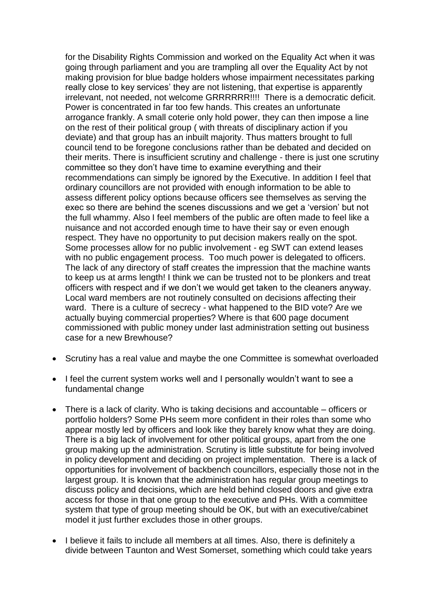for the Disability Rights Commission and worked on the Equality Act when it was going through parliament and you are trampling all over the Equality Act by not making provision for blue badge holders whose impairment necessitates parking really close to key services' they are not listening, that expertise is apparently irrelevant, not needed, not welcome GRRRRRR!!!! There is a democratic deficit. Power is concentrated in far too few hands. This creates an unfortunate arrogance frankly. A small coterie only hold power, they can then impose a line on the rest of their political group ( with threats of disciplinary action if you deviate) and that group has an inbuilt majority. Thus matters brought to full council tend to be foregone conclusions rather than be debated and decided on their merits. There is insufficient scrutiny and challenge - there is just one scrutiny committee so they don't have time to examine everything and their recommendations can simply be ignored by the Executive. In addition I feel that ordinary councillors are not provided with enough information to be able to assess different policy options because officers see themselves as serving the exec so there are behind the scenes discussions and we get a 'version' but not the full whammy. Also I feel members of the public are often made to feel like a nuisance and not accorded enough time to have their say or even enough respect. They have no opportunity to put decision makers really on the spot. Some processes allow for no public involvement - eg SWT can extend leases with no public engagement process. Too much power is delegated to officers. The lack of any directory of staff creates the impression that the machine wants to keep us at arms length! I think we can be trusted not to be plonkers and treat officers with respect and if we don't we would get taken to the cleaners anyway. Local ward members are not routinely consulted on decisions affecting their ward. There is a culture of secrecy - what happened to the BID vote? Are we actually buying commercial properties? Where is that 600 page document commissioned with public money under last administration setting out business case for a new Brewhouse?

- Scrutiny has a real value and maybe the one Committee is somewhat overloaded
- I feel the current system works well and I personally wouldn't want to see a fundamental change
- There is a lack of clarity. Who is taking decisions and accountable officers or portfolio holders? Some PHs seem more confident in their roles than some who appear mostly led by officers and look like they barely know what they are doing. There is a big lack of involvement for other political groups, apart from the one group making up the administration. Scrutiny is little substitute for being involved in policy development and deciding on project implementation. There is a lack of opportunities for involvement of backbench councillors, especially those not in the largest group. It is known that the administration has regular group meetings to discuss policy and decisions, which are held behind closed doors and give extra access for those in that one group to the executive and PHs. With a committee system that type of group meeting should be OK, but with an executive/cabinet model it just further excludes those in other groups.
- I believe it fails to include all members at all times. Also, there is definitely a divide between Taunton and West Somerset, something which could take years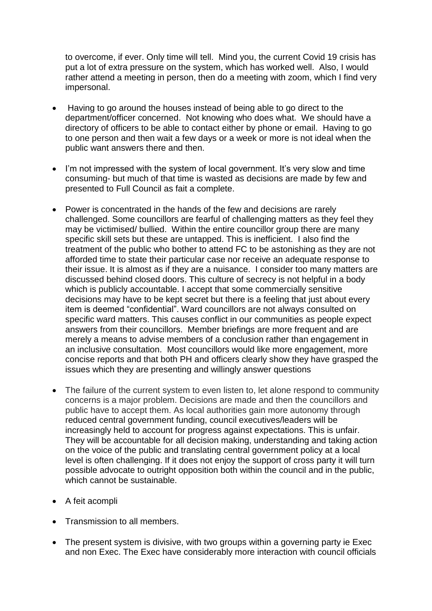to overcome, if ever. Only time will tell. Mind you, the current Covid 19 crisis has put a lot of extra pressure on the system, which has worked well. Also, I would rather attend a meeting in person, then do a meeting with zoom, which I find very impersonal.

- Having to go around the houses instead of being able to go direct to the department/officer concerned. Not knowing who does what. We should have a directory of officers to be able to contact either by phone or email. Having to go to one person and then wait a few days or a week or more is not ideal when the public want answers there and then.
- I'm not impressed with the system of local government. It's very slow and time consuming- but much of that time is wasted as decisions are made by few and presented to Full Council as fait a complete.
- Power is concentrated in the hands of the few and decisions are rarely challenged. Some councillors are fearful of challenging matters as they feel they may be victimised/ bullied. Within the entire councillor group there are many specific skill sets but these are untapped. This is inefficient. I also find the treatment of the public who bother to attend FC to be astonishing as they are not afforded time to state their particular case nor receive an adequate response to their issue. It is almost as if they are a nuisance. I consider too many matters are discussed behind closed doors. This culture of secrecy is not helpful in a body which is publicly accountable. I accept that some commercially sensitive decisions may have to be kept secret but there is a feeling that just about every item is deemed "confidential". Ward councillors are not always consulted on specific ward matters. This causes conflict in our communities as people expect answers from their councillors. Member briefings are more frequent and are merely a means to advise members of a conclusion rather than engagement in an inclusive consultation. Most councillors would like more engagement, more concise reports and that both PH and officers clearly show they have grasped the issues which they are presenting and willingly answer questions
- The failure of the current system to even listen to, let alone respond to community concerns is a major problem. Decisions are made and then the councillors and public have to accept them. As local authorities gain more autonomy through reduced central government funding, council executives/leaders will be increasingly held to account for progress against expectations. This is unfair. They will be accountable for all decision making, understanding and taking action on the voice of the public and translating central government policy at a local level is often challenging. If it does not enjoy the support of cross party it will turn possible advocate to outright opposition both within the council and in the public, which cannot be sustainable.
- A feit acompli
- Transmission to all members.
- The present system is divisive, with two groups within a governing party ie Exec and non Exec. The Exec have considerably more interaction with council officials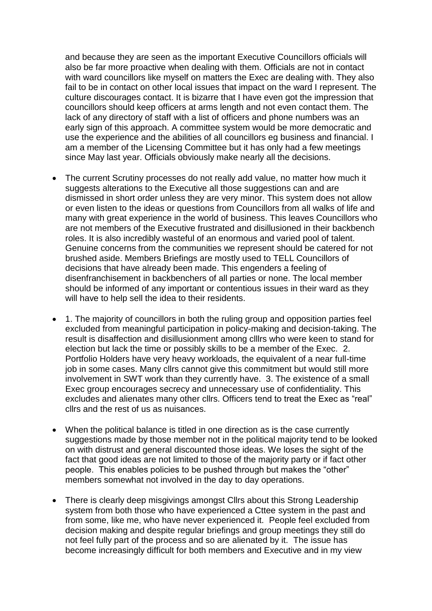and because they are seen as the important Executive Councillors officials will also be far more proactive when dealing with them. Officials are not in contact with ward councillors like myself on matters the Exec are dealing with. They also fail to be in contact on other local issues that impact on the ward I represent. The culture discourages contact. It is bizarre that I have even got the impression that councillors should keep officers at arms length and not even contact them. The lack of any directory of staff with a list of officers and phone numbers was an early sign of this approach. A committee system would be more democratic and use the experience and the abilities of all councillors eg business and financial. I am a member of the Licensing Committee but it has only had a few meetings since May last year. Officials obviously make nearly all the decisions.

- The current Scrutiny processes do not really add value, no matter how much it suggests alterations to the Executive all those suggestions can and are dismissed in short order unless they are very minor. This system does not allow or even listen to the ideas or questions from Councillors from all walks of life and many with great experience in the world of business. This leaves Councillors who are not members of the Executive frustrated and disillusioned in their backbench roles. It is also incredibly wasteful of an enormous and varied pool of talent. Genuine concerns from the communities we represent should be catered for not brushed aside. Members Briefings are mostly used to TELL Councillors of decisions that have already been made. This engenders a feeling of disenfranchisement in backbenchers of all parties or none. The local member should be informed of any important or contentious issues in their ward as they will have to help sell the idea to their residents.
- 1. The majority of councillors in both the ruling group and opposition parties feel excluded from meaningful participation in policy-making and decision-taking. The result is disaffection and disillusionment among clllrs who were keen to stand for election but lack the time or possibly skills to be a member of the Exec. 2. Portfolio Holders have very heavy workloads, the equivalent of a near full-time job in some cases. Many cllrs cannot give this commitment but would still more involvement in SWT work than they currently have. 3. The existence of a small Exec group encourages secrecy and unnecessary use of confidentiality. This excludes and alienates many other cllrs. Officers tend to treat the Exec as "real" cllrs and the rest of us as nuisances.
- When the political balance is titled in one direction as is the case currently suggestions made by those member not in the political majority tend to be looked on with distrust and general discounted those ideas. We loses the sight of the fact that good ideas are not limited to those of the majority party or if fact other people. This enables policies to be pushed through but makes the "other" members somewhat not involved in the day to day operations.
- There is clearly deep misgivings amongst Cllrs about this Strong Leadership system from both those who have experienced a Cttee system in the past and from some, like me, who have never experienced it. People feel excluded from decision making and despite regular briefings and group meetings they still do not feel fully part of the process and so are alienated by it. The issue has become increasingly difficult for both members and Executive and in my view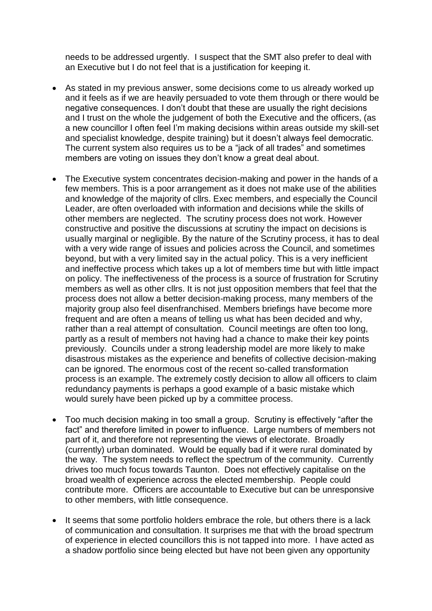needs to be addressed urgently. I suspect that the SMT also prefer to deal with an Executive but I do not feel that is a justification for keeping it.

- As stated in my previous answer, some decisions come to us already worked up and it feels as if we are heavily persuaded to vote them through or there would be negative consequences. I don't doubt that these are usually the right decisions and I trust on the whole the judgement of both the Executive and the officers, (as a new councillor I often feel I'm making decisions within areas outside my skill-set and specialist knowledge, despite training) but it doesn't always feel democratic. The current system also requires us to be a "jack of all trades" and sometimes members are voting on issues they don't know a great deal about.
- The Executive system concentrates decision-making and power in the hands of a few members. This is a poor arrangement as it does not make use of the abilities and knowledge of the majority of cllrs. Exec members, and especially the Council Leader, are often overloaded with information and decisions while the skills of other members are neglected. The scrutiny process does not work. However constructive and positive the discussions at scrutiny the impact on decisions is usually marginal or negligible. By the nature of the Scrutiny process, it has to deal with a very wide range of issues and policies across the Council, and sometimes beyond, but with a very limited say in the actual policy. This is a very inefficient and ineffective process which takes up a lot of members time but with little impact on policy. The ineffectiveness of the process is a source of frustration for Scrutiny members as well as other cllrs. It is not just opposition members that feel that the process does not allow a better decision-making process, many members of the majority group also feel disenfranchised. Members briefings have become more frequent and are often a means of telling us what has been decided and why, rather than a real attempt of consultation. Council meetings are often too long, partly as a result of members not having had a chance to make their key points previously. Councils under a strong leadership model are more likely to make disastrous mistakes as the experience and benefits of collective decision-making can be ignored. The enormous cost of the recent so-called transformation process is an example. The extremely costly decision to allow all officers to claim redundancy payments is perhaps a good example of a basic mistake which would surely have been picked up by a committee process.
- Too much decision making in too small a group. Scrutiny is effectively "after the fact" and therefore limited in power to influence. Large numbers of members not part of it, and therefore not representing the views of electorate. Broadly (currently) urban dominated. Would be equally bad if it were rural dominated by the way. The system needs to reflect the spectrum of the community. Currently drives too much focus towards Taunton. Does not effectively capitalise on the broad wealth of experience across the elected membership. People could contribute more. Officers are accountable to Executive but can be unresponsive to other members, with little consequence.
- It seems that some portfolio holders embrace the role, but others there is a lack of communication and consultation. It surprises me that with the broad spectrum of experience in elected councillors this is not tapped into more. I have acted as a shadow portfolio since being elected but have not been given any opportunity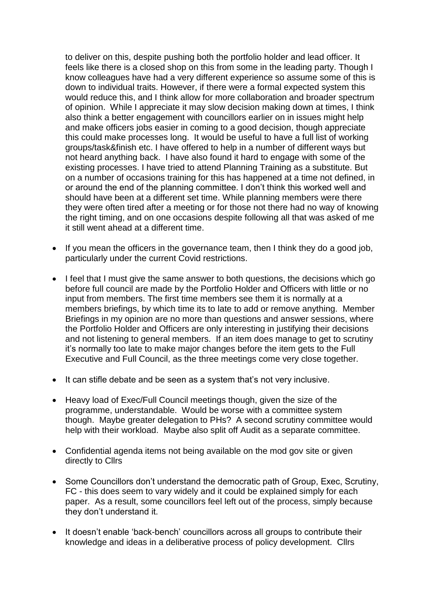to deliver on this, despite pushing both the portfolio holder and lead officer. It feels like there is a closed shop on this from some in the leading party. Though I know colleagues have had a very different experience so assume some of this is down to individual traits. However, if there were a formal expected system this would reduce this, and I think allow for more collaboration and broader spectrum of opinion. While I appreciate it may slow decision making down at times, I think also think a better engagement with councillors earlier on in issues might help and make officers jobs easier in coming to a good decision, though appreciate this could make processes long. It would be useful to have a full list of working groups/task&finish etc. I have offered to help in a number of different ways but not heard anything back. I have also found it hard to engage with some of the existing processes. I have tried to attend Planning Training as a substitute. But on a number of occasions training for this has happened at a time not defined, in or around the end of the planning committee. I don't think this worked well and should have been at a different set time. While planning members were there they were often tired after a meeting or for those not there had no way of knowing the right timing, and on one occasions despite following all that was asked of me it still went ahead at a different time.

- If you mean the officers in the governance team, then I think they do a good job, particularly under the current Covid restrictions.
- I feel that I must give the same answer to both questions, the decisions which go before full council are made by the Portfolio Holder and Officers with little or no input from members. The first time members see them it is normally at a members briefings, by which time its to late to add or remove anything. Member Briefings in my opinion are no more than questions and answer sessions, where the Portfolio Holder and Officers are only interesting in justifying their decisions and not listening to general members. If an item does manage to get to scrutiny it's normally too late to make major changes before the item gets to the Full Executive and Full Council, as the three meetings come very close together.
- It can stifle debate and be seen as a system that's not very inclusive.
- Heavy load of Exec/Full Council meetings though, given the size of the programme, understandable. Would be worse with a committee system though. Maybe greater delegation to PHs? A second scrutiny committee would help with their workload. Maybe also split off Audit as a separate committee.
- Confidential agenda items not being available on the mod gov site or given directly to Cllrs
- Some Councillors don't understand the democratic path of Group, Exec, Scrutiny, FC - this does seem to vary widely and it could be explained simply for each paper. As a result, some councillors feel left out of the process, simply because they don't understand it.
- It doesn't enable 'back-bench' councillors across all groups to contribute their knowledge and ideas in a deliberative process of policy development. Cllrs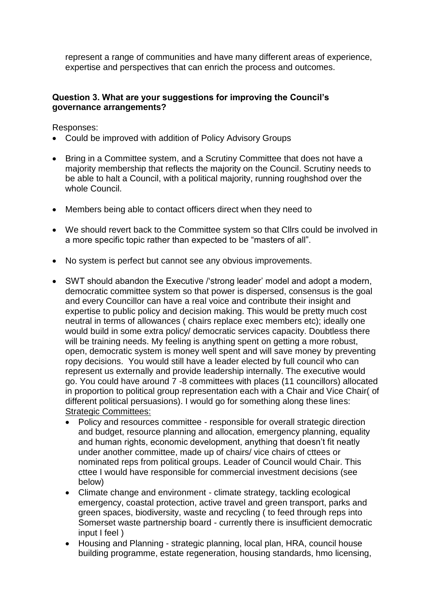represent a range of communities and have many different areas of experience, expertise and perspectives that can enrich the process and outcomes.

## **Question 3. What are your suggestions for improving the Council's governance arrangements?**

Responses:

- Could be improved with addition of Policy Advisory Groups
- Bring in a Committee system, and a Scrutiny Committee that does not have a majority membership that reflects the majority on the Council. Scrutiny needs to be able to halt a Council, with a political majority, running roughshod over the whole Council.
- Members being able to contact officers direct when they need to
- We should revert back to the Committee system so that Cllrs could be involved in a more specific topic rather than expected to be "masters of all".
- No system is perfect but cannot see any obvious improvements.
- SWT should abandon the Executive /'strong leader' model and adopt a modern, democratic committee system so that power is dispersed, consensus is the goal and every Councillor can have a real voice and contribute their insight and expertise to public policy and decision making. This would be pretty much cost neutral in terms of allowances ( chairs replace exec members etc); ideally one would build in some extra policy/ democratic services capacity. Doubtless there will be training needs. My feeling is anything spent on getting a more robust, open, democratic system is money well spent and will save money by preventing ropy decisions. You would still have a leader elected by full council who can represent us externally and provide leadership internally. The executive would go. You could have around 7 -8 committees with places (11 councillors) allocated in proportion to political group representation each with a Chair and Vice Chair( of different political persuasions). I would go for something along these lines: **Strategic Committees:** 
	- Policy and resources committee responsible for overall strategic direction and budget, resource planning and allocation, emergency planning, equality and human rights, economic development, anything that doesn't fit neatly under another committee, made up of chairs/ vice chairs of cttees or nominated reps from political groups. Leader of Council would Chair. This cttee I would have responsible for commercial investment decisions (see below)
	- Climate change and environment climate strategy, tackling ecological emergency, coastal protection, active travel and green transport, parks and green spaces, biodiversity, waste and recycling ( to feed through reps into Somerset waste partnership board - currently there is insufficient democratic input I feel )
	- Housing and Planning strategic planning, local plan, HRA, council house building programme, estate regeneration, housing standards, hmo licensing,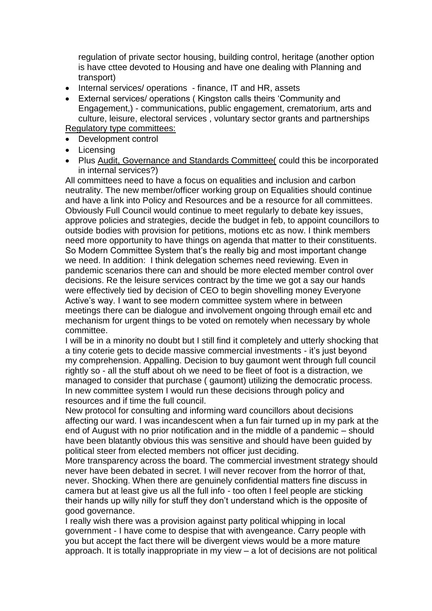regulation of private sector housing, building control, heritage (another option is have cttee devoted to Housing and have one dealing with Planning and transport)

- Internal services/ operations finance, IT and HR, assets
- External services/ operations ( Kingston calls theirs 'Community and Engagement,) - communications, public engagement, crematorium, arts and culture, leisure, electoral services , voluntary sector grants and partnerships Regulatory type committees:
- Development control
- Licensing
- Plus Audit, Governance and Standards Committee( could this be incorporated in internal services?)

All committees need to have a focus on equalities and inclusion and carbon neutrality. The new member/officer working group on Equalities should continue and have a link into Policy and Resources and be a resource for all committees. Obviously Full Council would continue to meet regularly to debate key issues, approve policies and strategies, decide the budget in feb, to appoint councillors to outside bodies with provision for petitions, motions etc as now. I think members need more opportunity to have things on agenda that matter to their constituents. So Modern Committee System that's the really big and most important change we need. In addition: I think delegation schemes need reviewing. Even in pandemic scenarios there can and should be more elected member control over decisions. Re the leisure services contract by the time we got a say our hands were effectively tied by decision of CEO to begin shovelling money Everyone Active's way. I want to see modern committee system where in between meetings there can be dialogue and involvement ongoing through email etc and mechanism for urgent things to be voted on remotely when necessary by whole committee.

I will be in a minority no doubt but I still find it completely and utterly shocking that a tiny coterie gets to decide massive commercial investments - it's just beyond my comprehension. Appalling. Decision to buy gaumont went through full council rightly so - all the stuff about oh we need to be fleet of foot is a distraction, we managed to consider that purchase ( gaumont) utilizing the democratic process. In new committee system I would run these decisions through policy and resources and if time the full council.

New protocol for consulting and informing ward councillors about decisions affecting our ward. I was incandescent when a fun fair turned up in my park at the end of August with no prior notification and in the middle of a pandemic – should have been blatantly obvious this was sensitive and should have been guided by political steer from elected members not officer just deciding.

More transparency across the board. The commercial investment strategy should never have been debated in secret. I will never recover from the horror of that, never. Shocking. When there are genuinely confidential matters fine discuss in camera but at least give us all the full info - too often I feel people are sticking their hands up willy nilly for stuff they don't understand which is the opposite of good governance.

I really wish there was a provision against party political whipping in local government - I have come to despise that with avengeance. Carry people with you but accept the fact there will be divergent views would be a more mature approach. It is totally inappropriate in my view – a lot of decisions are not political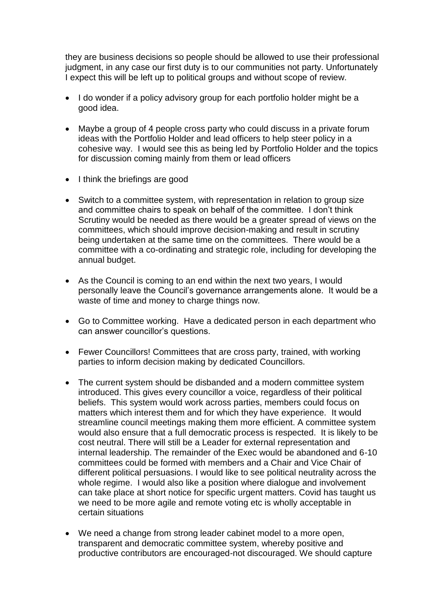they are business decisions so people should be allowed to use their professional judgment, in any case our first duty is to our communities not party. Unfortunately I expect this will be left up to political groups and without scope of review.

- I do wonder if a policy advisory group for each portfolio holder might be a good idea.
- Maybe a group of 4 people cross party who could discuss in a private forum ideas with the Portfolio Holder and lead officers to help steer policy in a cohesive way. I would see this as being led by Portfolio Holder and the topics for discussion coming mainly from them or lead officers
- I think the briefings are good
- Switch to a committee system, with representation in relation to group size and committee chairs to speak on behalf of the committee. I don't think Scrutiny would be needed as there would be a greater spread of views on the committees, which should improve decision-making and result in scrutiny being undertaken at the same time on the committees. There would be a committee with a co-ordinating and strategic role, including for developing the annual budget.
- As the Council is coming to an end within the next two years, I would personally leave the Council's governance arrangements alone. It would be a waste of time and money to charge things now.
- Go to Committee working. Have a dedicated person in each department who can answer councillor's questions.
- Fewer Councillors! Committees that are cross party, trained, with working parties to inform decision making by dedicated Councillors.
- The current system should be disbanded and a modern committee system introduced. This gives every councillor a voice, regardless of their political beliefs. This system would work across parties, members could focus on matters which interest them and for which they have experience. It would streamline council meetings making them more efficient. A committee system would also ensure that a full democratic process is respected. It is likely to be cost neutral. There will still be a Leader for external representation and internal leadership. The remainder of the Exec would be abandoned and 6-10 committees could be formed with members and a Chair and Vice Chair of different political persuasions. I would like to see political neutrality across the whole regime. I would also like a position where dialogue and involvement can take place at short notice for specific urgent matters. Covid has taught us we need to be more agile and remote voting etc is wholly acceptable in certain situations
- We need a change from strong leader cabinet model to a more open, transparent and democratic committee system, whereby positive and productive contributors are encouraged-not discouraged. We should capture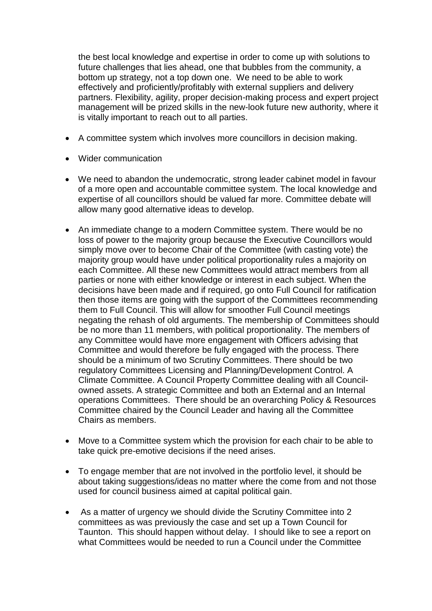the best local knowledge and expertise in order to come up with solutions to future challenges that lies ahead, one that bubbles from the community, a bottom up strategy, not a top down one. We need to be able to work effectively and proficiently/profitably with external suppliers and delivery partners. Flexibility, agility, proper decision-making process and expert project management will be prized skills in the new-look future new authority, where it is vitally important to reach out to all parties.

- A committee system which involves more councillors in decision making.
- Wider communication
- We need to abandon the undemocratic, strong leader cabinet model in favour of a more open and accountable committee system. The local knowledge and expertise of all councillors should be valued far more. Committee debate will allow many good alternative ideas to develop.
- An immediate change to a modern Committee system. There would be no loss of power to the majority group because the Executive Councillors would simply move over to become Chair of the Committee (with casting vote) the majority group would have under political proportionality rules a majority on each Committee. All these new Committees would attract members from all parties or none with either knowledge or interest in each subject. When the decisions have been made and if required, go onto Full Council for ratification then those items are going with the support of the Committees recommending them to Full Council. This will allow for smoother Full Council meetings negating the rehash of old arguments. The membership of Committees should be no more than 11 members, with political proportionality. The members of any Committee would have more engagement with Officers advising that Committee and would therefore be fully engaged with the process. There should be a minimum of two Scrutiny Committees. There should be two regulatory Committees Licensing and Planning/Development Control. A Climate Committee. A Council Property Committee dealing with all Councilowned assets. A strategic Committee and both an External and an Internal operations Committees. There should be an overarching Policy & Resources Committee chaired by the Council Leader and having all the Committee Chairs as members.
- Move to a Committee system which the provision for each chair to be able to take quick pre-emotive decisions if the need arises.
- To engage member that are not involved in the portfolio level, it should be about taking suggestions/ideas no matter where the come from and not those used for council business aimed at capital political gain.
- As a matter of urgency we should divide the Scrutiny Committee into 2 committees as was previously the case and set up a Town Council for Taunton. This should happen without delay. I should like to see a report on what Committees would be needed to run a Council under the Committee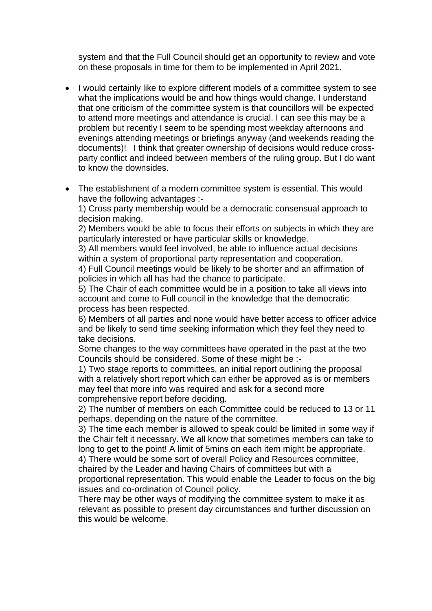system and that the Full Council should get an opportunity to review and vote on these proposals in time for them to be implemented in April 2021.

- I would certainly like to explore different models of a committee system to see what the implications would be and how things would change. I understand that one criticism of the committee system is that councillors will be expected to attend more meetings and attendance is crucial. I can see this may be a problem but recently I seem to be spending most weekday afternoons and evenings attending meetings or briefings anyway (and weekends reading the documents)! I think that greater ownership of decisions would reduce crossparty conflict and indeed between members of the ruling group. But I do want to know the downsides.
- The establishment of a modern committee system is essential. This would have the following advantages :-

1) Cross party membership would be a democratic consensual approach to decision making.

2) Members would be able to focus their efforts on subjects in which they are particularly interested or have particular skills or knowledge.

3) All members would feel involved, be able to influence actual decisions within a system of proportional party representation and cooperation.

4) Full Council meetings would be likely to be shorter and an affirmation of policies in which all has had the chance to participate.

5) The Chair of each committee would be in a position to take all views into account and come to Full council in the knowledge that the democratic process has been respected.

6) Members of all parties and none would have better access to officer advice and be likely to send time seeking information which they feel they need to take decisions.

Some changes to the way committees have operated in the past at the two Councils should be considered. Some of these might be :-

1) Two stage reports to committees, an initial report outlining the proposal with a relatively short report which can either be approved as is or members may feel that more info was required and ask for a second more comprehensive report before deciding.

2) The number of members on each Committee could be reduced to 13 or 11 perhaps, depending on the nature of the committee.

3) The time each member is allowed to speak could be limited in some way if the Chair felt it necessary. We all know that sometimes members can take to long to get to the point! A limit of 5mins on each item might be appropriate.

4) There would be some sort of overall Policy and Resources committee, chaired by the Leader and having Chairs of committees but with a

proportional representation. This would enable the Leader to focus on the big issues and co-ordination of Council policy.

There may be other ways of modifying the committee system to make it as relevant as possible to present day circumstances and further discussion on this would be welcome.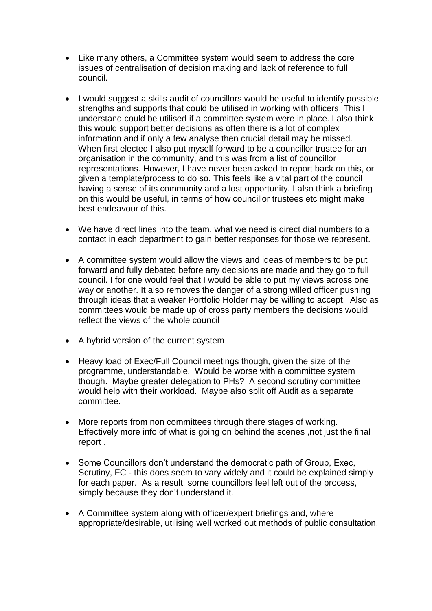- Like many others, a Committee system would seem to address the core issues of centralisation of decision making and lack of reference to full council.
- I would suggest a skills audit of councillors would be useful to identify possible strengths and supports that could be utilised in working with officers. This I understand could be utilised if a committee system were in place. I also think this would support better decisions as often there is a lot of complex information and if only a few analyse then crucial detail may be missed. When first elected I also put myself forward to be a councillor trustee for an organisation in the community, and this was from a list of councillor representations. However, I have never been asked to report back on this, or given a template/process to do so. This feels like a vital part of the council having a sense of its community and a lost opportunity. I also think a briefing on this would be useful, in terms of how councillor trustees etc might make best endeavour of this.
- We have direct lines into the team, what we need is direct dial numbers to a contact in each department to gain better responses for those we represent.
- A committee system would allow the views and ideas of members to be put forward and fully debated before any decisions are made and they go to full council. I for one would feel that I would be able to put my views across one way or another. It also removes the danger of a strong willed officer pushing through ideas that a weaker Portfolio Holder may be willing to accept. Also as committees would be made up of cross party members the decisions would reflect the views of the whole council
- A hybrid version of the current system
- Heavy load of Exec/Full Council meetings though, given the size of the programme, understandable. Would be worse with a committee system though. Maybe greater delegation to PHs? A second scrutiny committee would help with their workload. Maybe also split off Audit as a separate committee.
- More reports from non committees through there stages of working. Effectively more info of what is going on behind the scenes ,not just the final report .
- Some Councillors don't understand the democratic path of Group, Exec, Scrutiny, FC - this does seem to vary widely and it could be explained simply for each paper. As a result, some councillors feel left out of the process, simply because they don't understand it.
- A Committee system along with officer/expert briefings and, where appropriate/desirable, utilising well worked out methods of public consultation.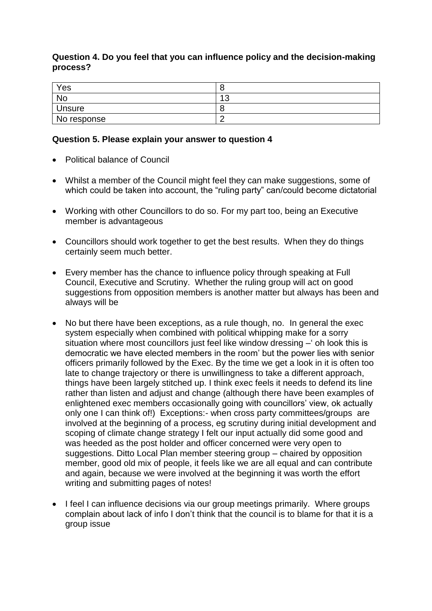## **Question 4. Do you feel that you can influence policy and the decision-making process?**

| Yes           |          |
|---------------|----------|
| <b>No</b>     | 10<br>J. |
| <b>Unsure</b> |          |
| No response   |          |

## **Question 5. Please explain your answer to question 4**

- Political balance of Council
- Whilst a member of the Council might feel they can make suggestions, some of which could be taken into account, the "ruling party" can/could become dictatorial
- Working with other Councillors to do so. For my part too, being an Executive member is advantageous
- Councillors should work together to get the best results. When they do things certainly seem much better.
- Every member has the chance to influence policy through speaking at Full Council, Executive and Scrutiny. Whether the ruling group will act on good suggestions from opposition members is another matter but always has been and always will be
- No but there have been exceptions, as a rule though, no.In general the exec system especially when combined with political whipping make for a sorry situation where most councillors just feel like window dressing –' oh look this is democratic we have elected members in the room' but the power lies with senior officers primarily followed by the Exec. By the time we get a look in it is often too late to change trajectory or there is unwillingness to take a different approach, things have been largely stitched up. I think exec feels it needs to defend its line rather than listen and adjust and change (although there have been examples of enlightened exec members occasionally going with councillors' view, ok actually only one I can think of!) Exceptions:- when cross party committees/groups are involved at the beginning of a process, eg scrutiny during initial development and scoping of climate change strategy I felt our input actually did some good and was heeded as the post holder and officer concerned were very open to suggestions. Ditto Local Plan member steering group – chaired by opposition member, good old mix of people, it feels like we are all equal and can contribute and again, because we were involved at the beginning it was worth the effort writing and submitting pages of notes!
- I feel I can influence decisions via our group meetings primarily. Where groups complain about lack of info I don't think that the council is to blame for that it is a group issue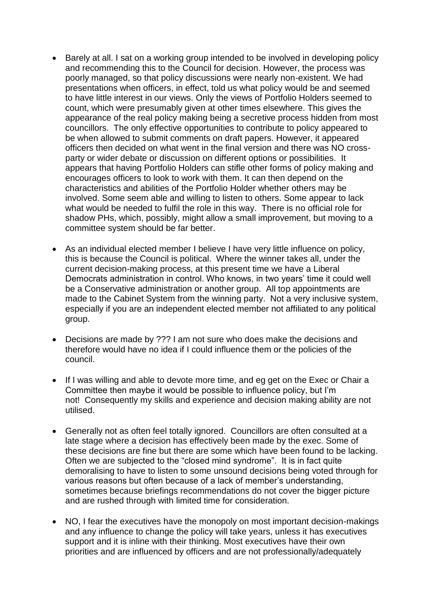- Barely at all. I sat on a working group intended to be involved in developing policy and recommending this to the Council for decision. However, the process was poorly managed, so that policy discussions were nearly non-existent. We had presentations when officers, in effect, told us what policy would be and seemed to have little interest in our views. Only the views of Portfolio Holders seemed to count, which were presumably given at other times elsewhere. This gives the appearance of the real policy making being a secretive process hidden from most councillors. The only effective opportunities to contribute to policy appeared to be when allowed to submit comments on draft papers. However, it appeared officers then decided on what went in the final version and there was NO crossparty or wider debate or discussion on different options or possibilities. It appears that having Portfolio Holders can stifle other forms of policy making and encourages officers to look to work with them. It can then depend on the characteristics and abilities of the Portfolio Holder whether others may be involved. Some seem able and willing to listen to others. Some appear to lack what would be needed to fulfil the role in this way. There is no official role for shadow PHs, which, possibly, might allow a small improvement, but moving to a committee system should be far better.
- As an individual elected member I believe I have very little influence on policy, this is because the Council is political. Where the winner takes all, under the current decision-making process, at this present time we have a Liberal Democrats administration in control. Who knows, in two years' time it could well be a Conservative administration or another group. All top appointments are made to the Cabinet System from the winning party. Not a very inclusive system, especially if you are an independent elected member not affiliated to any political group.
- Decisions are made by ??? I am not sure who does make the decisions and therefore would have no idea if I could influence them or the policies of the council.
- If I was willing and able to devote more time, and eg get on the Exec or Chair a Committee then maybe it would be possible to influence policy, but I'm not! Consequently my skills and experience and decision making ability are not utilised.
- Generally not as often feel totally ignored. Councillors are often consulted at a late stage where a decision has effectively been made by the exec. Some of these decisions are fine but there are some which have been found to be lacking. Often we are subjected to the "closed mind syndrome". It is in fact quite demoralising to have to listen to some unsound decisions being voted through for various reasons but often because of a lack of member's understanding, sometimes because briefings recommendations do not cover the bigger picture and are rushed through with limited time for consideration.
- NO, I fear the executives have the monopoly on most important decision-makings and any influence to change the policy will take years, unless it has executives support and it is inline with their thinking. Most executives have their own priorities and are influenced by officers and are not professionally/adequately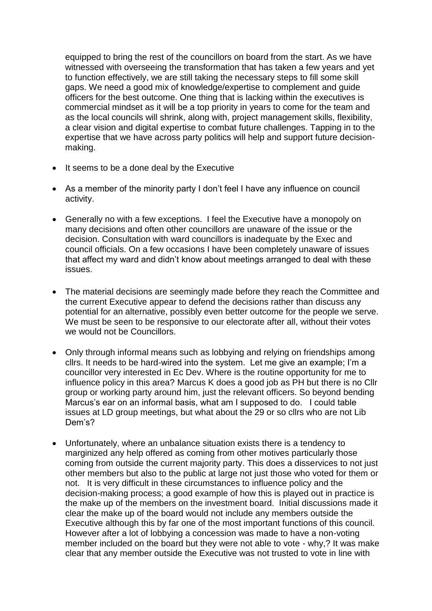equipped to bring the rest of the councillors on board from the start. As we have witnessed with overseeing the transformation that has taken a few years and yet to function effectively, we are still taking the necessary steps to fill some skill gaps. We need a good mix of knowledge/expertise to complement and guide officers for the best outcome. One thing that is lacking within the executives is commercial mindset as it will be a top priority in years to come for the team and as the local councils will shrink, along with, project management skills, flexibility, a clear vision and digital expertise to combat future challenges. Tapping in to the expertise that we have across party politics will help and support future decisionmaking.

- It seems to be a done deal by the Executive
- As a member of the minority party I don't feel I have any influence on council activity.
- Generally no with a few exceptions. I feel the Executive have a monopoly on many decisions and often other councillors are unaware of the issue or the decision. Consultation with ward councillors is inadequate by the Exec and council officials. On a few occasions I have been completely unaware of issues that affect my ward and didn't know about meetings arranged to deal with these issues.
- The material decisions are seemingly made before they reach the Committee and the current Executive appear to defend the decisions rather than discuss any potential for an alternative, possibly even better outcome for the people we serve. We must be seen to be responsive to our electorate after all, without their votes we would not be Councillors.
- Only through informal means such as lobbying and relying on friendships among cllrs. It needs to be hard-wired into the system. Let me give an example; I'm a councillor very interested in Ec Dev. Where is the routine opportunity for me to influence policy in this area? Marcus K does a good job as PH but there is no Cllr group or working party around him, just the relevant officers. So beyond bending Marcus's ear on an informal basis, what am I supposed to do. I could table issues at LD group meetings, but what about the 29 or so cllrs who are not Lib Dem's?
- Unfortunately, where an unbalance situation exists there is a tendency to marginized any help offered as coming from other motives particularly those coming from outside the current majority party. This does a disservices to not just other members but also to the public at large not just those who voted for them or not. It is very difficult in these circumstances to influence policy and the decision-making process; a good example of how this is played out in practice is the make up of the members on the investment board. Initial discussions made it clear the make up of the board would not include any members outside the Executive although this by far one of the most important functions of this council. However after a lot of lobbying a concession was made to have a non-voting member included on the board but they were not able to vote - why,? It was make clear that any member outside the Executive was not trusted to vote in line with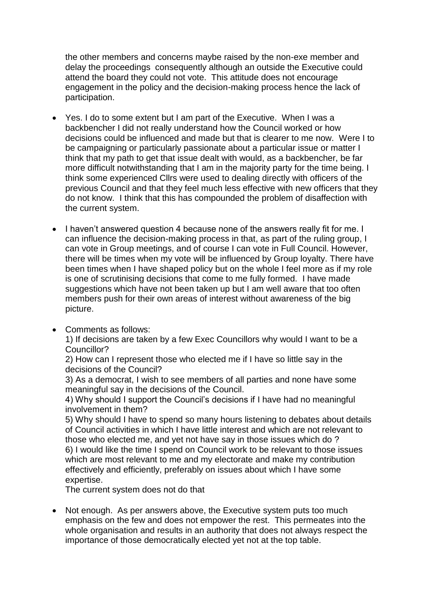the other members and concerns maybe raised by the non-exe member and delay the proceedings consequently although an outside the Executive could attend the board they could not vote. This attitude does not encourage engagement in the policy and the decision-making process hence the lack of participation.

- Yes. I do to some extent but I am part of the Executive. When I was a backbencher I did not really understand how the Council worked or how decisions could be influenced and made but that is clearer to me now. Were I to be campaigning or particularly passionate about a particular issue or matter I think that my path to get that issue dealt with would, as a backbencher, be far more difficult notwithstanding that I am in the majority party for the time being. I think some experienced Cllrs were used to dealing directly with officers of the previous Council and that they feel much less effective with new officers that they do not know. I think that this has compounded the problem of disaffection with the current system.
- I haven't answered question 4 because none of the answers really fit for me. I can influence the decision-making process in that, as part of the ruling group, I can vote in Group meetings, and of course I can vote in Full Council. However, there will be times when my vote will be influenced by Group loyalty. There have been times when I have shaped policy but on the whole I feel more as if my role is one of scrutinising decisions that come to me fully formed. I have made suggestions which have not been taken up but I am well aware that too often members push for their own areas of interest without awareness of the big picture.
- Comments as follows:

1) If decisions are taken by a few Exec Councillors why would I want to be a Councillor?

2) How can I represent those who elected me if I have so little say in the decisions of the Council?

3) As a democrat, I wish to see members of all parties and none have some meaningful say in the decisions of the Council.

4) Why should I support the Council's decisions if I have had no meaningful involvement in them?

5) Why should I have to spend so many hours listening to debates about details of Council activities in which I have little interest and which are not relevant to those who elected me, and yet not have say in those issues which do ? 6) I would like the time I spend on Council work to be relevant to those issues which are most relevant to me and my electorate and make my contribution effectively and efficiently, preferably on issues about which I have some expertise.

The current system does not do that

• Not enough. As per answers above, the Executive system puts too much emphasis on the few and does not empower the rest. This permeates into the whole organisation and results in an authority that does not always respect the importance of those democratically elected yet not at the top table.